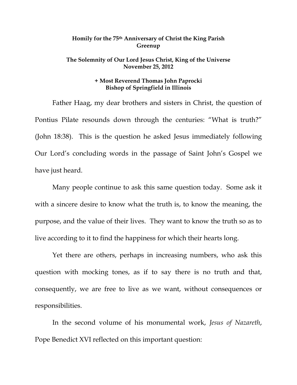## **Homily for the 75th Anniversary of Christ the King Parish Greenup**

## **The Solemnity of Our Lord Jesus Christ, King of the Universe November 25, 2012**

## **+ Most Reverend Thomas John Paprocki Bishop of Springfield in Illinois**

Father Haag, my dear brothers and sisters in Christ, the question of Pontius Pilate resounds down through the centuries: "What is truth?" (John 18:38). This is the question he asked Jesus immediately following Our Lord's concluding words in the passage of Saint John's Gospel we have just heard.

Many people continue to ask this same question today. Some ask it with a sincere desire to know what the truth is, to know the meaning, the purpose, and the value of their lives. They want to know the truth so as to live according to it to find the happiness for which their hearts long.

Yet there are others, perhaps in increasing numbers, who ask this question with mocking tones, as if to say there is no truth and that, consequently, we are free to live as we want, without consequences or responsibilities.

In the second volume of his monumental work, *Jesus of Nazareth*, Pope Benedict XVI reflected on this important question: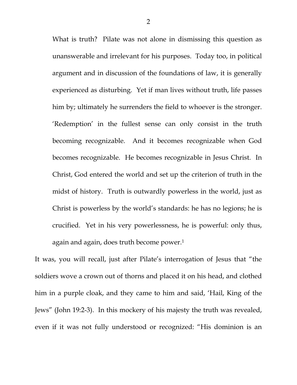What is truth? Pilate was not alone in dismissing this question as unanswerable and irrelevant for his purposes. Today too, in political argument and in discussion of the foundations of law, it is generally experienced as disturbing. Yet if man lives without truth, life passes him by; ultimately he surrenders the field to whoever is the stronger. 'Redemption' in the fullest sense can only consist in the truth becoming recognizable. And it becomes recognizable when God becomes recognizable. He becomes recognizable in Jesus Christ. In Christ, God entered the world and set up the criterion of truth in the midst of history. Truth is outwardly powerless in the world, just as Christ is powerless by the world's standards: he has no legions; he is crucified. Yet in his very powerlessness, he is powerful: only thus, again and again, does truth become power.<sup>1</sup>

It was, you will recall, just after Pilate's interrogation of Jesus that "the soldiers wove a crown out of thorns and placed it on his head, and clothed him in a purple cloak, and they came to him and said, 'Hail, King of the Jews" (John 19:2-3). In this mockery of his majesty the truth was revealed, even if it was not fully understood or recognized: "His dominion is an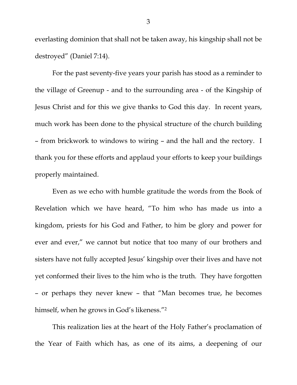everlasting dominion that shall not be taken away, his kingship shall not be destroyed" (Daniel 7:14).

 For the past seventy-five years your parish has stood as a reminder to the village of Greenup - and to the surrounding area - of the Kingship of Jesus Christ and for this we give thanks to God this day. In recent years, much work has been done to the physical structure of the church building – from brickwork to windows to wiring – and the hall and the rectory. I thank you for these efforts and applaud your efforts to keep your buildings properly maintained.

Even as we echo with humble gratitude the words from the Book of Revelation which we have heard, "To him who has made us into a kingdom, priests for his God and Father, to him be glory and power for ever and ever," we cannot but notice that too many of our brothers and sisters have not fully accepted Jesus' kingship over their lives and have not yet conformed their lives to the him who is the truth. They have forgotten – or perhaps they never knew – that "Man becomes true, he becomes himself, when he grows in God's likeness."<sup>2</sup>

This realization lies at the heart of the Holy Father's proclamation of the Year of Faith which has, as one of its aims, a deepening of our

3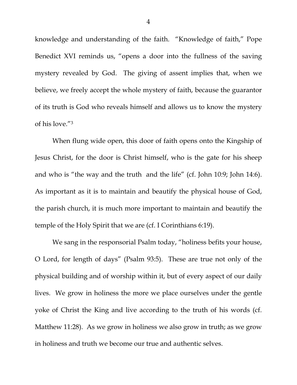knowledge and understanding of the faith. "Knowledge of faith," Pope Benedict XVI reminds us, "opens a door into the fullness of the saving mystery revealed by God. The giving of assent implies that, when we believe, we freely accept the whole mystery of faith, because the guarantor of its truth is God who reveals himself and allows us to know the mystery of his love."3

When flung wide open, this door of faith opens onto the Kingship of Jesus Christ, for the door is Christ himself, who is the gate for his sheep and who is "the way and the truth and the life" (cf. John 10:9; John 14:6). As important as it is to maintain and beautify the physical house of God, the parish church, it is much more important to maintain and beautify the temple of the Holy Spirit that we are (cf. I Corinthians 6:19).

We sang in the responsorial Psalm today, "holiness befits your house, O Lord, for length of days" (Psalm 93:5). These are true not only of the physical building and of worship within it, but of every aspect of our daily lives. We grow in holiness the more we place ourselves under the gentle yoke of Christ the King and live according to the truth of his words (cf. Matthew 11:28). As we grow in holiness we also grow in truth; as we grow in holiness and truth we become our true and authentic selves.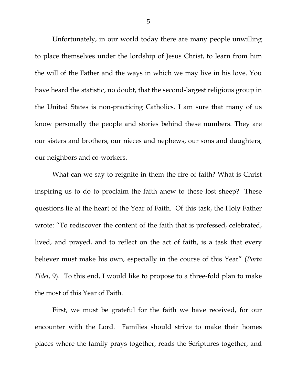Unfortunately, in our world today there are many people unwilling to place themselves under the lordship of Jesus Christ, to learn from him the will of the Father and the ways in which we may live in his love. You have heard the statistic, no doubt, that the second-largest religious group in the United States is non-practicing Catholics. I am sure that many of us know personally the people and stories behind these numbers. They are our sisters and brothers, our nieces and nephews, our sons and daughters, our neighbors and co-workers.

What can we say to reignite in them the fire of faith? What is Christ inspiring us to do to proclaim the faith anew to these lost sheep? These questions lie at the heart of the Year of Faith. Of this task, the Holy Father wrote: "To rediscover the content of the faith that is professed, celebrated, lived, and prayed, and to reflect on the act of faith, is a task that every believer must make his own, especially in the course of this Year" (*Porta Fidei*, 9). To this end, I would like to propose to a three-fold plan to make the most of this Year of Faith.

 First, we must be grateful for the faith we have received, for our encounter with the Lord. Families should strive to make their homes places where the family prays together, reads the Scriptures together, and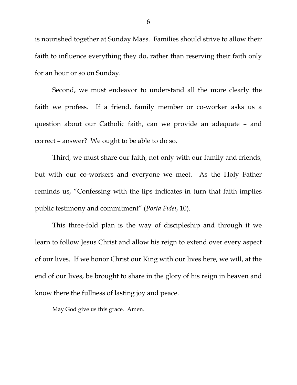is nourished together at Sunday Mass. Families should strive to allow their faith to influence everything they do, rather than reserving their faith only for an hour or so on Sunday.

 Second, we must endeavor to understand all the more clearly the faith we profess. If a friend, family member or co-worker asks us a question about our Catholic faith, can we provide an adequate – and correct – answer? We ought to be able to do so.

 Third, we must share our faith, not only with our family and friends, but with our co-workers and everyone we meet. As the Holy Father reminds us, "Confessing with the lips indicates in turn that faith implies public testimony and commitment" (*Porta Fidei*, 10).

 This three-fold plan is the way of discipleship and through it we learn to follow Jesus Christ and allow his reign to extend over every aspect of our lives. If we honor Christ our King with our lives here, we will, at the end of our lives, be brought to share in the glory of his reign in heaven and know there the fullness of lasting joy and peace.

May God give us this grace. Amen.